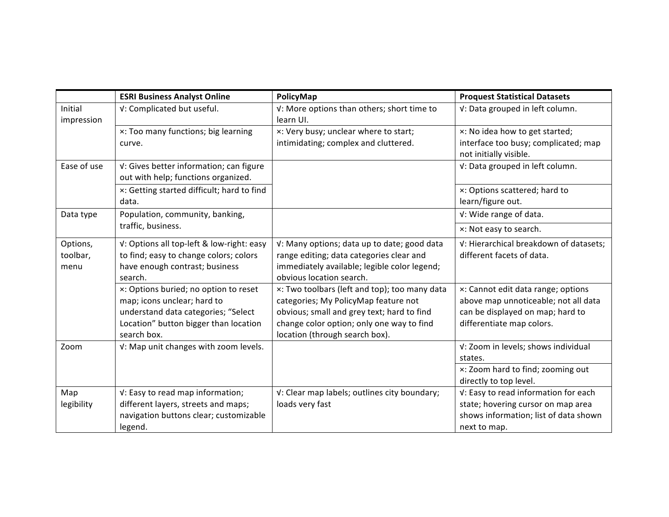|                              | <b>ESRI Business Analyst Online</b>                                                                                                                                 | PolicyMap                                                                                                                                                                                                          | <b>Proquest Statistical Datasets</b>                                                                                                        |
|------------------------------|---------------------------------------------------------------------------------------------------------------------------------------------------------------------|--------------------------------------------------------------------------------------------------------------------------------------------------------------------------------------------------------------------|---------------------------------------------------------------------------------------------------------------------------------------------|
| Initial<br>impression        | V: Complicated but useful.                                                                                                                                          | V: More options than others; short time to<br>learn UI.                                                                                                                                                            | V: Data grouped in left column.                                                                                                             |
|                              | x: Too many functions; big learning<br>curve.                                                                                                                       | x: Very busy; unclear where to start;<br>intimidating; complex and cluttered.                                                                                                                                      | x: No idea how to get started;<br>interface too busy; complicated; map<br>not initially visible.                                            |
| Ease of use                  | V: Gives better information; can figure<br>out with help; functions organized.                                                                                      |                                                                                                                                                                                                                    | V: Data grouped in left column.                                                                                                             |
|                              | x: Getting started difficult; hard to find<br>data.                                                                                                                 |                                                                                                                                                                                                                    | x: Options scattered; hard to<br>learn/figure out.                                                                                          |
| Data type                    | Population, community, banking,                                                                                                                                     |                                                                                                                                                                                                                    | V: Wide range of data.                                                                                                                      |
|                              | traffic, business.                                                                                                                                                  |                                                                                                                                                                                                                    | x: Not easy to search.                                                                                                                      |
| Options,<br>toolbar,<br>menu | V: Options all top-left & low-right: easy<br>to find; easy to change colors; colors<br>have enough contrast; business<br>search.                                    | V: Many options; data up to date; good data<br>range editing; data categories clear and<br>immediately available; legible color legend;<br>obvious location search.                                                | V: Hierarchical breakdown of datasets;<br>different facets of data.                                                                         |
|                              | x: Options buried; no option to reset<br>map; icons unclear; hard to<br>understand data categories; "Select<br>Location" button bigger than location<br>search box. | x: Two toolbars (left and top); too many data<br>categories; My PolicyMap feature not<br>obvious; small and grey text; hard to find<br>change color option; only one way to find<br>location (through search box). | x: Cannot edit data range; options<br>above map unnoticeable; not all data<br>can be displayed on map; hard to<br>differentiate map colors. |
| Zoom                         | V: Map unit changes with zoom levels.                                                                                                                               |                                                                                                                                                                                                                    | V: Zoom in levels; shows individual<br>states.                                                                                              |
|                              |                                                                                                                                                                     |                                                                                                                                                                                                                    | x: Zoom hard to find; zooming out<br>directly to top level.                                                                                 |
| Map<br>legibility            | V: Easy to read map information;<br>different layers, streets and maps;<br>navigation buttons clear; customizable<br>legend.                                        | V: Clear map labels; outlines city boundary;<br>loads very fast                                                                                                                                                    | V: Easy to read information for each<br>state; hovering cursor on map area<br>shows information; list of data shown<br>next to map.         |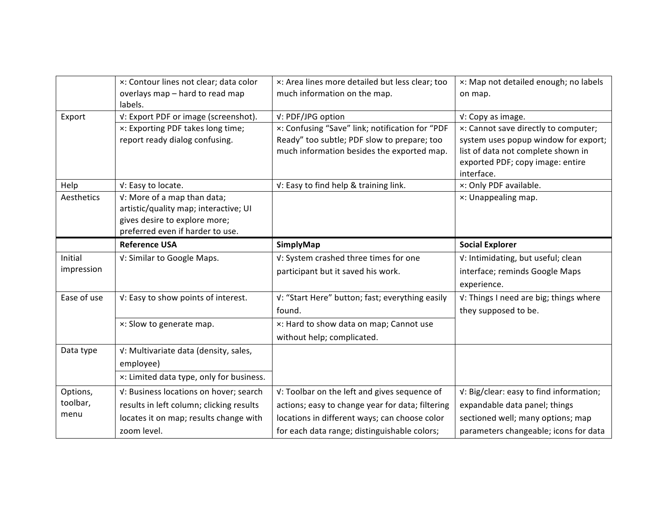|                       | x: Contour lines not clear; data color<br>overlays map - hard to read map                                                                 | x: Area lines more detailed but less clear; too<br>much information on the map.                                                                                   | x: Map not detailed enough; no labels<br>on map.                                                                                                                                          |
|-----------------------|-------------------------------------------------------------------------------------------------------------------------------------------|-------------------------------------------------------------------------------------------------------------------------------------------------------------------|-------------------------------------------------------------------------------------------------------------------------------------------------------------------------------------------|
| Export                | labels.<br>V: Export PDF or image (screenshot).<br>x: Exporting PDF takes long time;<br>report ready dialog confusing.                    | V: PDF/JPG option<br>x: Confusing "Save" link; notification for "PDF<br>Ready" too subtle; PDF slow to prepare; too<br>much information besides the exported map. | v: Copy as image.<br>x: Cannot save directly to computer;<br>system uses popup window for export;<br>list of data not complete shown in<br>exported PDF; copy image: entire<br>interface. |
| Help                  | v: Easy to locate.                                                                                                                        | V: Easy to find help & training link.                                                                                                                             | x: Only PDF available.                                                                                                                                                                    |
| Aesthetics            | V: More of a map than data;<br>artistic/quality map; interactive; UI<br>gives desire to explore more;<br>preferred even if harder to use. |                                                                                                                                                                   | x: Unappealing map.                                                                                                                                                                       |
|                       | <b>Reference USA</b>                                                                                                                      | SimplyMap                                                                                                                                                         | <b>Social Explorer</b>                                                                                                                                                                    |
| Initial<br>impression | V: Similar to Google Maps.                                                                                                                | V: System crashed three times for one<br>participant but it saved his work.                                                                                       | V: Intimidating, but useful; clean<br>interface; reminds Google Maps<br>experience.                                                                                                       |
| Ease of use           | V: Easy to show points of interest.                                                                                                       | V: "Start Here" button; fast; everything easily<br>found.                                                                                                         | V: Things I need are big; things where<br>they supposed to be.                                                                                                                            |
|                       | x: Slow to generate map.                                                                                                                  | x: Hard to show data on map; Cannot use                                                                                                                           |                                                                                                                                                                                           |
|                       |                                                                                                                                           | without help; complicated.                                                                                                                                        |                                                                                                                                                                                           |
| Data type             | V: Multivariate data (density, sales,                                                                                                     |                                                                                                                                                                   |                                                                                                                                                                                           |
|                       | employee)                                                                                                                                 |                                                                                                                                                                   |                                                                                                                                                                                           |
|                       | x: Limited data type, only for business.                                                                                                  |                                                                                                                                                                   |                                                                                                                                                                                           |
| Options,              | V: Business locations on hover; search                                                                                                    | V: Toolbar on the left and gives sequence of                                                                                                                      | V: Big/clear: easy to find information;                                                                                                                                                   |
| toolbar,              | results in left column; clicking results                                                                                                  | actions; easy to change year for data; filtering                                                                                                                  | expandable data panel; things                                                                                                                                                             |
| menu                  | locates it on map; results change with                                                                                                    | locations in different ways; can choose color                                                                                                                     | sectioned well; many options; map                                                                                                                                                         |